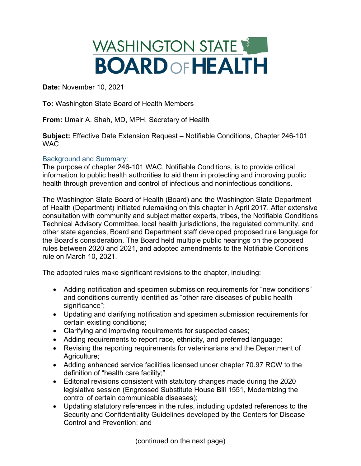## WASHINGTON STATE **BOARDOFHEALTH**

**Date:** November 10, 2021

**To:** Washington State Board of Health Members

**From:** Umair A. Shah, MD, MPH, Secretary of Health

**Subject:** Effective Date Extension Request – Notifiable Conditions, Chapter 246-101 **WAC** 

## Background and Summary:

The purpose of chapter 246-101 WAC, Notifiable Conditions, is to provide critical information to public health authorities to aid them in protecting and improving public health through prevention and control of infectious and noninfectious conditions.

The Washington State Board of Health (Board) and the Washington State Department of Health (Department) initiated rulemaking on this chapter in April 2017. After extensive consultation with community and subject matter experts, tribes, the Notifiable Conditions Technical Advisory Committee, local health jurisdictions, the regulated community, and other state agencies, Board and Department staff developed proposed rule language for the Board's consideration. The Board held multiple public hearings on the proposed rules between 2020 and 2021, and adopted amendments to the Notifiable Conditions rule on March 10, 2021.

The adopted rules make significant revisions to the chapter, including:

- Adding notification and specimen submission requirements for "new conditions" and conditions currently identified as "other rare diseases of public health significance":
- Updating and clarifying notification and specimen submission requirements for certain existing conditions;
- Clarifying and improving requirements for suspected cases;
- Adding requirements to report race, ethnicity, and preferred language;
- Revising the reporting requirements for veterinarians and the Department of Agriculture;
- Adding enhanced service facilities licensed under chapter 70.97 RCW to the definition of "health care facility;"
- Editorial revisions consistent with statutory changes made during the 2020 legislative session (Engrossed Substitute House Bill 1551, Modernizing the control of certain communicable diseases);
- Updating statutory references in the rules, including updated references to the Security and Confidentiality Guidelines developed by the Centers for Disease Control and Prevention; and